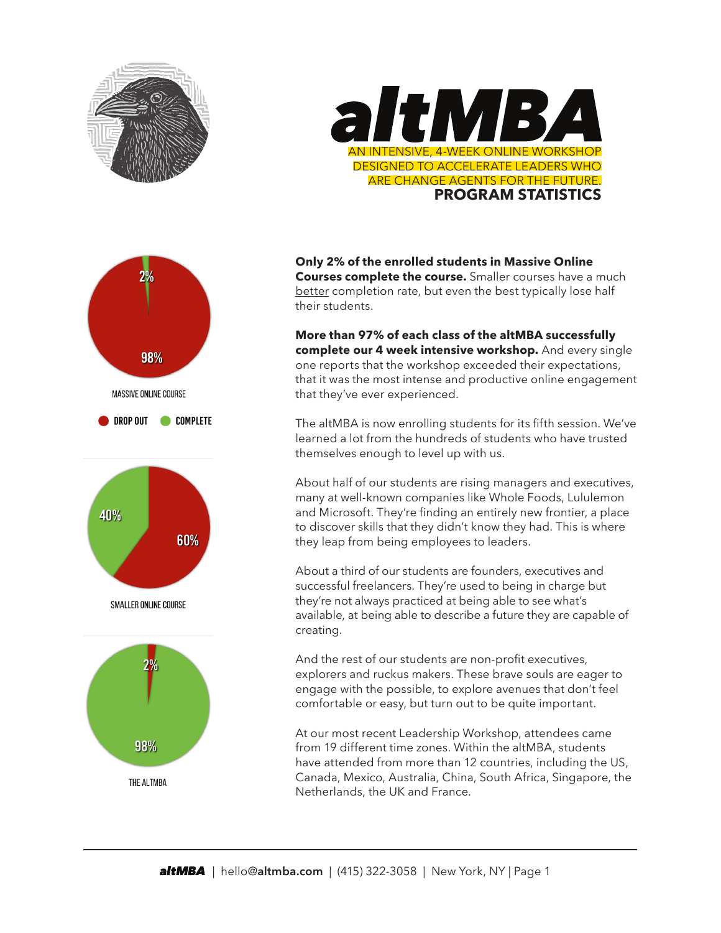









**Only 2% of the enrolled students in Massive Online Courses complete the course.** Smaller courses have a much [better](http://www.katyjordan.com/MOOCproject.html) completion rate, but even the best typically lose half their students.

**More than 97% of each class of the altMBA successfully complete our 4 week intensive workshop.** And every single one reports that the workshop exceeded their expectations, that it was the most intense and productive online engagement that they've ever experienced.

The altMBA is now enrolling students for its fifth session. We've learned a lot from the hundreds of students who have trusted themselves enough to level up with us.

About half of our students are rising managers and executives, many at well-known companies like Whole Foods, Lululemon and Microsoft. They're finding an entirely new frontier, a place to discover skills that they didn't know they had. This is where they leap from being employees to leaders.

About a third of our students are founders, executives and successful freelancers. They're used to being in charge but they're not always practiced at being able to see what's available, at being able to describe a future they are capable of creating.

And the rest of our students are non-profit executives, explorers and ruckus makers. These brave souls are eager to engage with the possible, to explore avenues that don't feel comfortable or easy, but turn out to be quite important.

At our most recent Leadership Workshop, attendees came from 19 different time zones. Within the altMBA, students have attended from more than 12 countries, including the US, Canada, Mexico, Australia, China, South Africa, Singapore, the Netherlands, the UK and France.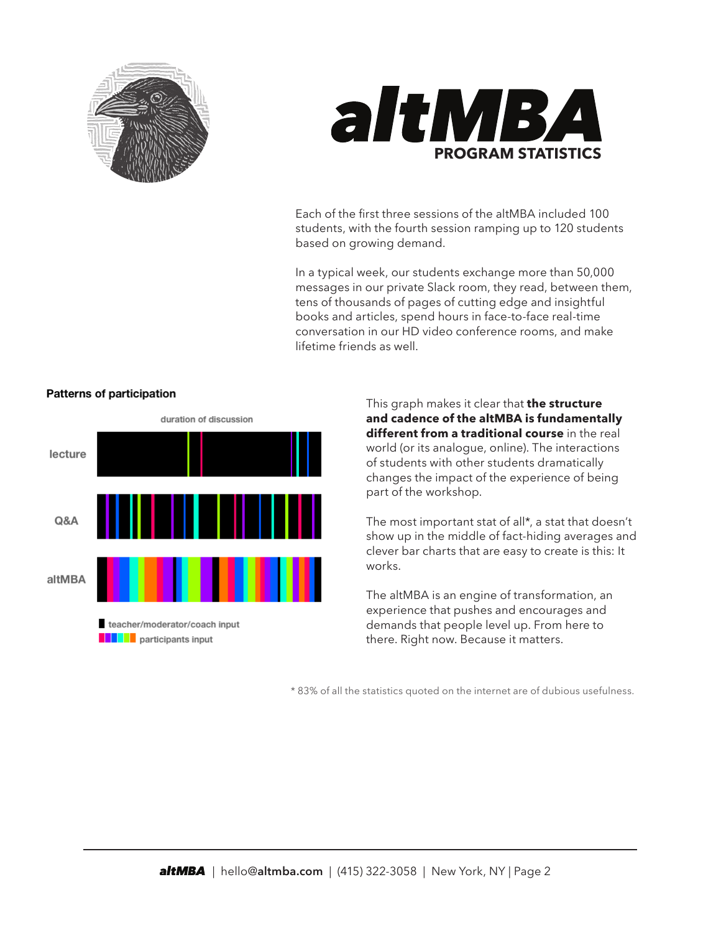



Each of the first three sessions of the altMBA included 100 students, with the fourth session ramping up to 120 students based on growing demand.

In a typical week, our students exchange more than 50,000 messages in our private Slack room, they read, between them, tens of thousands of pages of cutting edge and insightful books and articles, spend hours in face-to-face real-time conversation in our HD video conference rooms, and make lifetime friends as well.



## Patterns of participation

This graph makes it clear that **the structure and cadence of the altMBA is fundamentally different from a traditional course** in the real world (or its analogue, online). The interactions of students with other students dramatically changes the impact of the experience of being part of the workshop.

The most important stat of all\*, a stat that doesn't show up in the middle of fact-hiding averages and clever bar charts that are easy to create is this: It works.

The altMBA is an engine of transformation, an experience that pushes and encourages and demands that people level up. From here to there. Right now. Because it matters.

\* 83% of all the statistics quoted on the internet are of dubious usefulness.